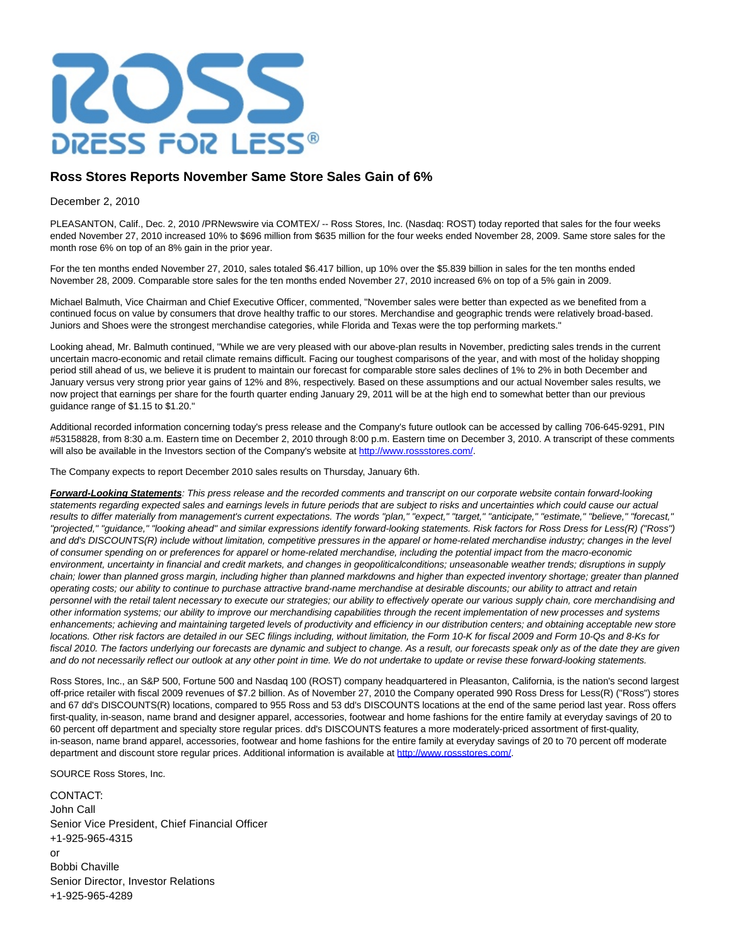

## **Ross Stores Reports November Same Store Sales Gain of 6%**

## December 2, 2010

PLEASANTON, Calif., Dec. 2, 2010 /PRNewswire via COMTEX/ -- Ross Stores, Inc. (Nasdaq: ROST) today reported that sales for the four weeks ended November 27, 2010 increased 10% to \$696 million from \$635 million for the four weeks ended November 28, 2009. Same store sales for the month rose 6% on top of an 8% gain in the prior year.

For the ten months ended November 27, 2010, sales totaled \$6.417 billion, up 10% over the \$5.839 billion in sales for the ten months ended November 28, 2009. Comparable store sales for the ten months ended November 27, 2010 increased 6% on top of a 5% gain in 2009.

Michael Balmuth, Vice Chairman and Chief Executive Officer, commented, "November sales were better than expected as we benefited from a continued focus on value by consumers that drove healthy traffic to our stores. Merchandise and geographic trends were relatively broad-based. Juniors and Shoes were the strongest merchandise categories, while Florida and Texas were the top performing markets."

Looking ahead, Mr. Balmuth continued, "While we are very pleased with our above-plan results in November, predicting sales trends in the current uncertain macro-economic and retail climate remains difficult. Facing our toughest comparisons of the year, and with most of the holiday shopping period still ahead of us, we believe it is prudent to maintain our forecast for comparable store sales declines of 1% to 2% in both December and January versus very strong prior year gains of 12% and 8%, respectively. Based on these assumptions and our actual November sales results, we now project that earnings per share for the fourth quarter ending January 29, 2011 will be at the high end to somewhat better than our previous guidance range of \$1.15 to \$1.20."

Additional recorded information concerning today's press release and the Company's future outlook can be accessed by calling 706-645-9291, PIN #53158828, from 8:30 a.m. Eastern time on December 2, 2010 through 8:00 p.m. Eastern time on December 3, 2010. A transcript of these comments will also be available in the Investors section of the Company's website at [http://www.rossstores.com/.](http://www.rossstores.com/)

The Company expects to report December 2010 sales results on Thursday, January 6th.

**Forward-Looking Statements**: This press release and the recorded comments and transcript on our corporate website contain forward-looking statements regarding expected sales and earnings levels in future periods that are subject to risks and uncertainties which could cause our actual results to differ materially from management's current expectations. The words "plan," "expect," "arget," "anticipate," "estimate," "believe," "forecast," "projected," "guidance," "looking ahead" and similar expressions identify forward-looking statements. Risk factors for Ross Dress for Less(R) ("Ross") and dd's DISCOUNTS(R) include without limitation, competitive pressures in the apparel or home-related merchandise industry; changes in the level of consumer spending on or preferences for apparel or home-related merchandise, including the potential impact from the macro-economic environment, uncertainty in financial and credit markets, and changes in geopoliticalconditions; unseasonable weather trends; disruptions in supply chain; lower than planned gross margin, including higher than planned markdowns and higher than expected inventory shortage; greater than planned operating costs; our ability to continue to purchase attractive brand-name merchandise at desirable discounts; our ability to attract and retain personnel with the retail talent necessary to execute our strategies; our ability to effectively operate our various supply chain, core merchandising and other information systems; our ability to improve our merchandising capabilities through the recent implementation of new processes and systems enhancements; achieving and maintaining targeted levels of productivity and efficiency in our distribution centers; and obtaining acceptable new store locations. Other risk factors are detailed in our SEC filings including, without limitation, the Form 10-K for fiscal 2009 and Form 10-Qs and 8-Ks for fiscal 2010. The factors underlying our forecasts are dynamic and subject to change. As a result, our forecasts speak only as of the date they are given and do not necessarily reflect our outlook at any other point in time. We do not undertake to update or revise these forward-looking statements.

Ross Stores, Inc., an S&P 500, Fortune 500 and Nasdaq 100 (ROST) company headquartered in Pleasanton, California, is the nation's second largest off-price retailer with fiscal 2009 revenues of \$7.2 billion. As of November 27, 2010 the Company operated 990 Ross Dress for Less(R) ("Ross") stores and 67 dd's DISCOUNTS(R) locations, compared to 955 Ross and 53 dd's DISCOUNTS locations at the end of the same period last year. Ross offers first-quality, in-season, name brand and designer apparel, accessories, footwear and home fashions for the entire family at everyday savings of 20 to 60 percent off department and specialty store regular prices. dd's DISCOUNTS features a more moderately-priced assortment of first-quality, in-season, name brand apparel, accessories, footwear and home fashions for the entire family at everyday savings of 20 to 70 percent off moderate department and discount store regular prices. Additional information is available at [http://www.rossstores.com/.](http://www.rossstores.com/)

SOURCE Ross Stores, Inc.

CONTACT: John Call Senior Vice President, Chief Financial Officer +1-925-965-4315 or Bobbi Chaville Senior Director, Investor Relations +1-925-965-4289